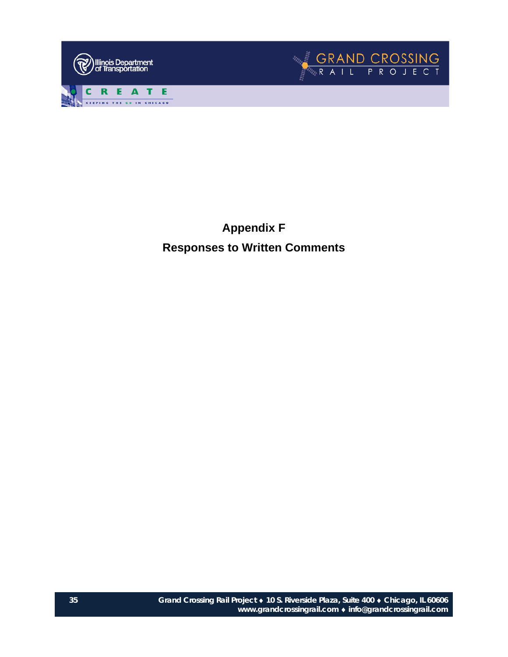



**Appendix F Responses to Written Comments**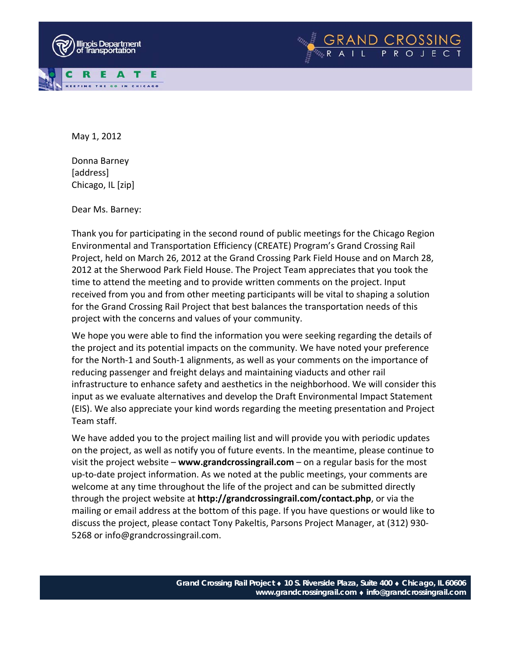



Donna Barney [address] Chicago, IL [zip]

Dear Ms. Barney:

Thank you for participating in the second round of public meetings for the Chicago Region Environmental and Transportation Efficiency (CREATE) Program's Grand Crossing Rail Project, held on March 26, 2012 at the Grand Crossing Park Field House and on March 28, 2012 at the Sherwood Park Field House. The Project Team appreciates that you took the time to attend the meeting and to provide written comments on the project. Input received from you and from other meeting participants will be vital to shaping a solution for the Grand Crossing Rail Project that best balances the transportation needs of this project with the concerns and values of your community.

We hope you were able to find the information you were seeking regarding the details of the project and its potential impacts on the community. We have noted your preference for the North‐1 and South‐1 alignments, as well as your comments on the importance of reducing passenger and freight delays and maintaining viaducts and other rail infrastructure to enhance safety and aesthetics in the neighborhood. We will consider this input as we evaluate alternatives and develop the Draft Environmental Impact Statement (EIS). We also appreciate your kind words regarding the meeting presentation and Project Team staff.

We have added you to the project mailing list and will provide you with periodic updates on the project, as well as notify you of future events. In the meantime, please continue to visit the project website – **www.grandcrossingrail.com** – on a regular basis for the most up‐to‐date project information. As we noted at the public meetings, your comments are welcome at any time throughout the life of the project and can be submitted directly through the project website at **http://grandcrossingrail.com/contact.php**, or via the mailing or email address at the bottom of this page. If you have questions or would like to discuss the project, please contact Tony Pakeltis, Parsons Project Manager, at (312) 930‐ 5268 or info@grandcrossingrail.com.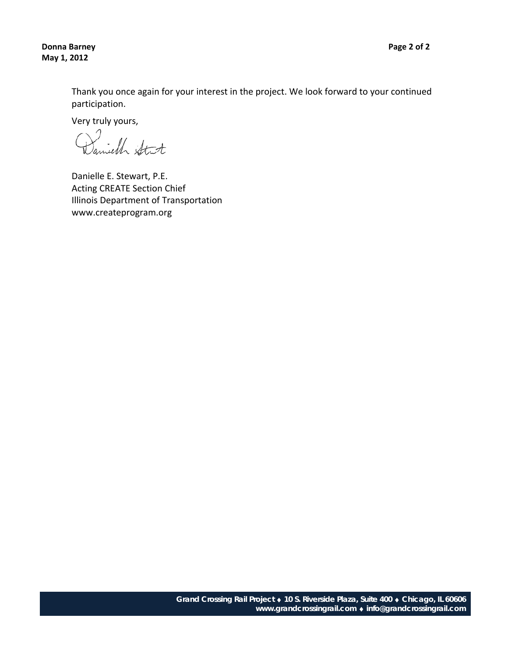**Donna Barney Page 2 of 2 May 1, 2012**

Thank you once again for your interest in the project. We look forward to your continued participation.

Very truly yours,

Danielle E. Stewart, P.E. Acting CREATE Section Chief Illinois Department of Transportation www.createprogram.org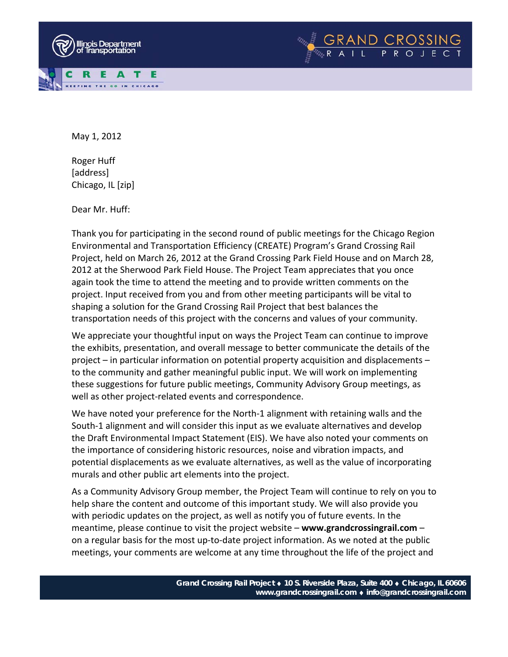



Roger Huff [address] Chicago, IL [zip]

Dear Mr. Huff:

Thank you for participating in the second round of public meetings for the Chicago Region Environmental and Transportation Efficiency (CREATE) Program's Grand Crossing Rail Project, held on March 26, 2012 at the Grand Crossing Park Field House and on March 28, 2012 at the Sherwood Park Field House. The Project Team appreciates that you once again took the time to attend the meeting and to provide written comments on the project. Input received from you and from other meeting participants will be vital to shaping a solution for the Grand Crossing Rail Project that best balances the transportation needs of this project with the concerns and values of your community.

We appreciate your thoughtful input on ways the Project Team can continue to improve the exhibits, presentation, and overall message to better communicate the details of the project – in particular information on potential property acquisition and displacements – to the community and gather meaningful public input. We will work on implementing these suggestions for future public meetings, Community Advisory Group meetings, as well as other project-related events and correspondence.

We have noted your preference for the North-1 alignment with retaining walls and the South-1 alignment and will consider this input as we evaluate alternatives and develop the Draft Environmental Impact Statement (EIS). We have also noted your comments on the importance of considering historic resources, noise and vibration impacts, and potential displacements as we evaluate alternatives, as well as the value of incorporating murals and other public art elements into the project.

As a Community Advisory Group member, the Project Team will continue to rely on you to help share the content and outcome of this important study. We will also provide you with periodic updates on the project, as well as notify you of future events. In the meantime, please continue to visit the project website – **www.grandcrossingrail.com** – on a regular basis for the most up‐to‐date project information. As we noted at the public meetings, your comments are welcome at any time throughout the life of the project and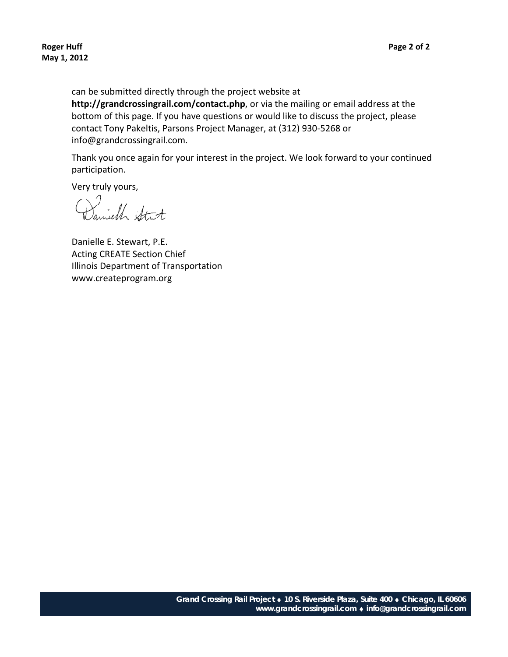can be submitted directly through the project website at **http://grandcrossingrail.com/contact.php**, or via the mailing or email address at the bottom of this page. If you have questions or would like to discuss the project, please contact Tony Pakeltis, Parsons Project Manager, at (312) 930‐5268 or info@grandcrossingrail.com.

Thank you once again for your interest in the project. We look forward to your continued participation.

Very truly yours,

Daniell Stit

Danielle E. Stewart, P.E. Acting CREATE Section Chief Illinois Department of Transportation www.createprogram.org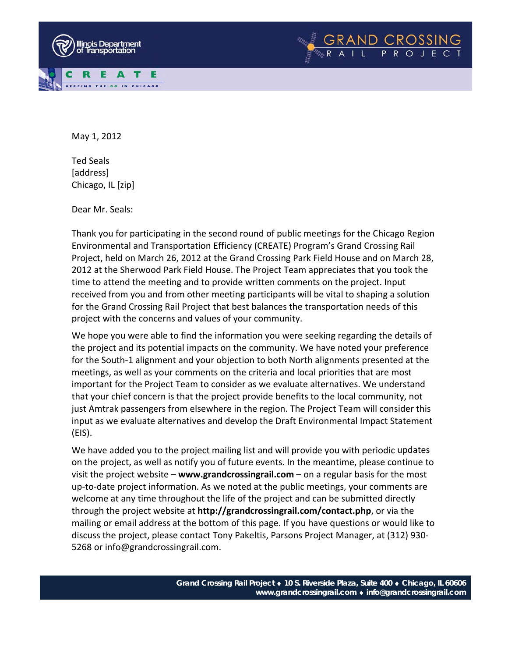



Ted Seals [address] Chicago, IL [zip]

Dear Mr. Seals:

Thank you for participating in the second round of public meetings for the Chicago Region Environmental and Transportation Efficiency (CREATE) Program's Grand Crossing Rail Project, held on March 26, 2012 at the Grand Crossing Park Field House and on March 28, 2012 at the Sherwood Park Field House. The Project Team appreciates that you took the time to attend the meeting and to provide written comments on the project. Input received from you and from other meeting participants will be vital to shaping a solution for the Grand Crossing Rail Project that best balances the transportation needs of this project with the concerns and values of your community.

We hope you were able to find the information you were seeking regarding the details of the project and its potential impacts on the community. We have noted your preference for the South‐1 alignment and your objection to both North alignments presented at the meetings, as well as your comments on the criteria and local priorities that are most important for the Project Team to consider as we evaluate alternatives. We understand that your chief concern is that the project provide benefits to the local community, not just Amtrak passengers from elsewhere in the region. The Project Team will consider this input as we evaluate alternatives and develop the Draft Environmental Impact Statement (EIS).

We have added you to the project mailing list and will provide you with periodic updates on the project, as well as notify you of future events. In the meantime, please continue to visit the project website – **www.grandcrossingrail.com** – on a regular basis for the most up‐to‐date project information. As we noted at the public meetings, your comments are welcome at any time throughout the life of the project and can be submitted directly through the project website at **http://grandcrossingrail.com/contact.php**, or via the mailing or email address at the bottom of this page. If you have questions or would like to discuss the project, please contact Tony Pakeltis, Parsons Project Manager, at (312) 930‐ 5268 or info@grandcrossingrail.com.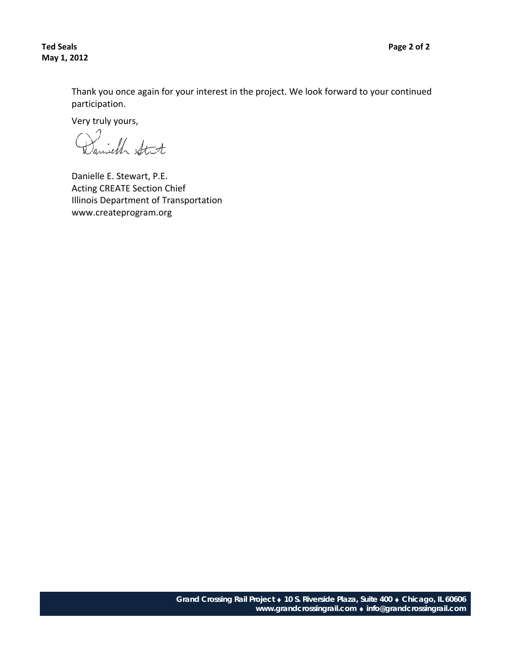Thank you once again for your interest in the project. We look forward to your continued participation.

Very truly yours,

Danielle E. Stewart, P.E. Acting CREATE Section Chief Illinois Department of Transportation www.createprogram.org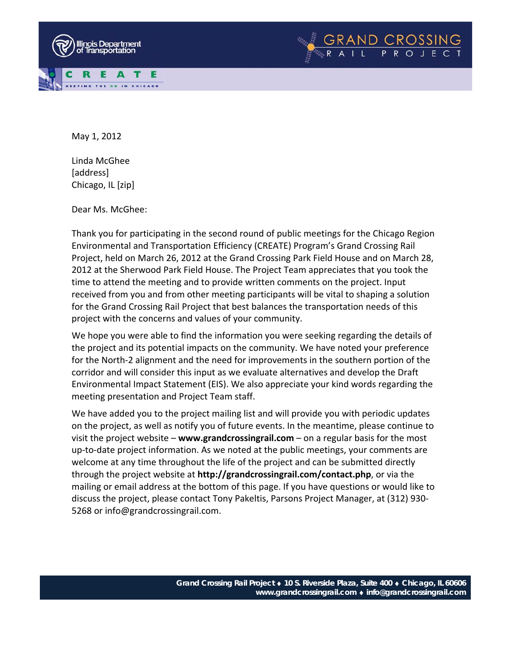



Linda McGhee [address] Chicago, IL [zip]

Dear Ms. McGhee:

Thank you for participating in the second round of public meetings for the Chicago Region Environmental and Transportation Efficiency (CREATE) Program's Grand Crossing Rail Project, held on March 26, 2012 at the Grand Crossing Park Field House and on March 28, 2012 at the Sherwood Park Field House. The Project Team appreciates that you took the time to attend the meeting and to provide written comments on the project. Input received from you and from other meeting participants will be vital to shaping a solution for the Grand Crossing Rail Project that best balances the transportation needs of this project with the concerns and values of your community.

We hope you were able to find the information you were seeking regarding the details of the project and its potential impacts on the community. We have noted your preference for the North‐2 alignment and the need for improvements in the southern portion of the corridor and will consider this input as we evaluate alternatives and develop the Draft Environmental Impact Statement (EIS). We also appreciate your kind words regarding the meeting presentation and Project Team staff.

We have added you to the project mailing list and will provide you with periodic updates on the project, as well as notify you of future events. In the meantime, please continue to visit the project website – **www.grandcrossingrail.com** – on a regular basis for the most up‐to‐date project information. As we noted at the public meetings, your comments are welcome at any time throughout the life of the project and can be submitted directly through the project website at **http://grandcrossingrail.com/contact.php**, or via the mailing or email address at the bottom of this page. If you have questions or would like to discuss the project, please contact Tony Pakeltis, Parsons Project Manager, at (312) 930‐ 5268 or info@grandcrossingrail.com.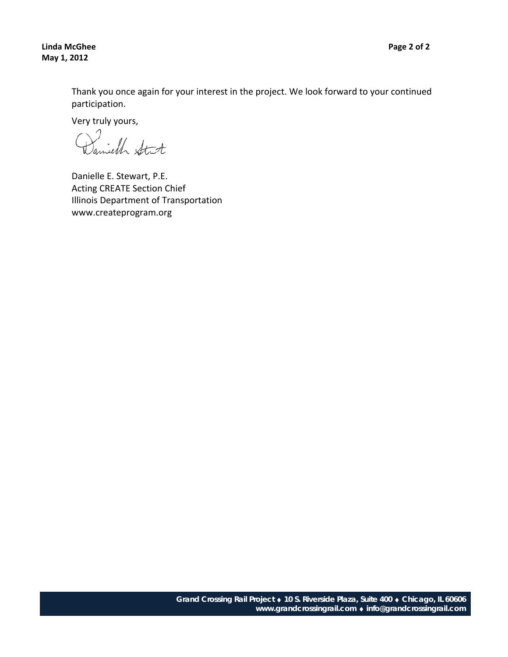**Linda McGhee Page 2 of 2 May 1, 2012**

Thank you once again for your interest in the project. We look forward to your continued participation.

Very truly yours,

Danielle E. Stewart, P.E. Acting CREATE Section Chief Illinois Department of Transportation www.createprogram.org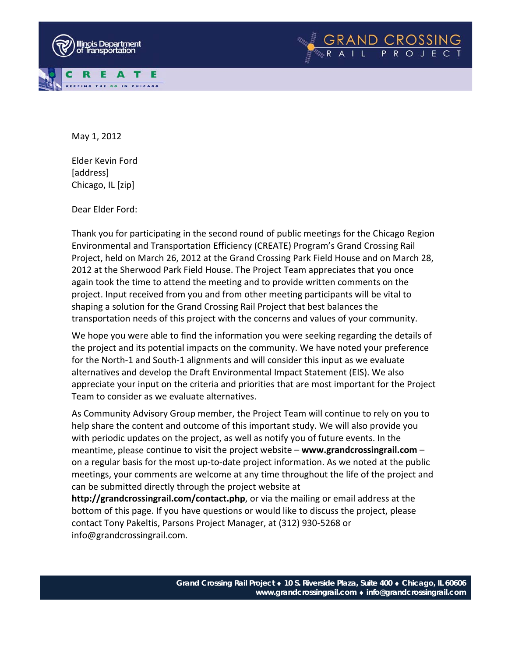



Elder Kevin Ford [address] Chicago, IL [zip]

Dear Elder Ford:

Thank you for participating in the second round of public meetings for the Chicago Region Environmental and Transportation Efficiency (CREATE) Program's Grand Crossing Rail Project, held on March 26, 2012 at the Grand Crossing Park Field House and on March 28, 2012 at the Sherwood Park Field House. The Project Team appreciates that you once again took the time to attend the meeting and to provide written comments on the project. Input received from you and from other meeting participants will be vital to shaping a solution for the Grand Crossing Rail Project that best balances the transportation needs of this project with the concerns and values of your community.

We hope you were able to find the information you were seeking regarding the details of the project and its potential impacts on the community. We have noted your preference for the North‐1 and South‐1 alignments and will consider this input as we evaluate alternatives and develop the Draft Environmental Impact Statement (EIS). We also appreciate your input on the criteria and priorities that are most important for the Project Team to consider as we evaluate alternatives.

As Community Advisory Group member, the Project Team will continue to rely on you to help share the content and outcome of this important study. We will also provide you with periodic updates on the project, as well as notify you of future events. In the meantime, please continue to visit the project website – **www.grandcrossingrail.com** – on a regular basis for the most up‐to‐date project information. As we noted at the public meetings, your comments are welcome at any time throughout the life of the project and can be submitted directly through the project website at

**http://grandcrossingrail.com/contact.php**, or via the mailing or email address at the bottom of this page. If you have questions or would like to discuss the project, please contact Tony Pakeltis, Parsons Project Manager, at (312) 930‐5268 or info@grandcrossingrail.com.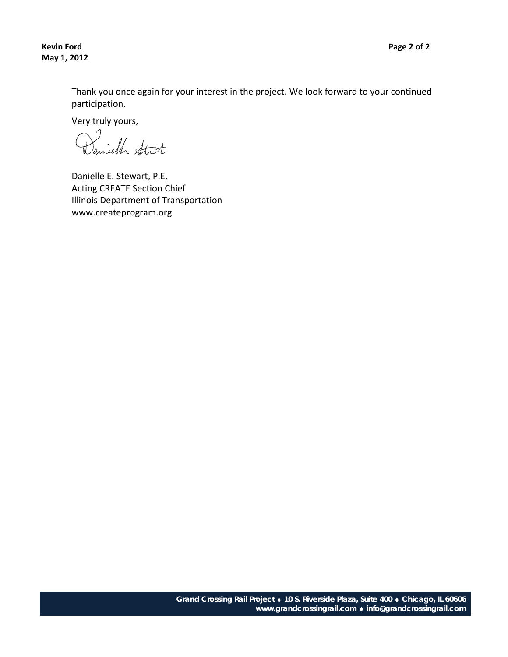**Kevin Ford Page 2 of 2 May 1, 2012**

Thank you once again for your interest in the project. We look forward to your continued participation.

Very truly yours,

Danielle E. Stewart, P.E. Acting CREATE Section Chief Illinois Department of Transportation www.createprogram.org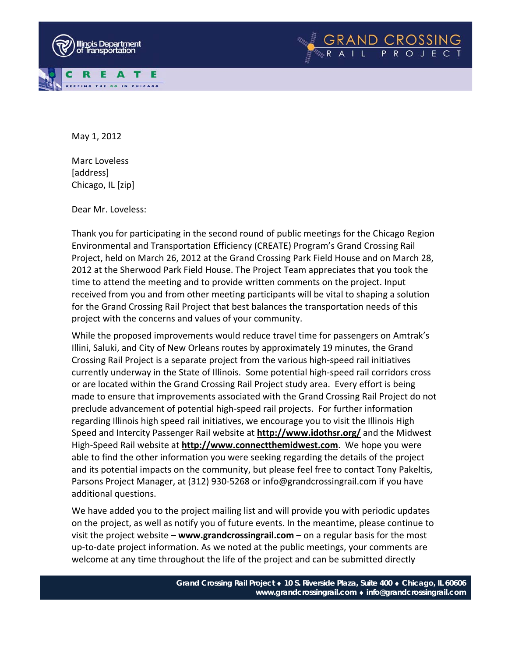



Marc Loveless [address] Chicago, IL [zip]

Dear Mr. Loveless:

Thank you for participating in the second round of public meetings for the Chicago Region Environmental and Transportation Efficiency (CREATE) Program's Grand Crossing Rail Project, held on March 26, 2012 at the Grand Crossing Park Field House and on March 28, 2012 at the Sherwood Park Field House. The Project Team appreciates that you took the time to attend the meeting and to provide written comments on the project. Input received from you and from other meeting participants will be vital to shaping a solution for the Grand Crossing Rail Project that best balances the transportation needs of this project with the concerns and values of your community.

While the proposed improvements would reduce travel time for passengers on Amtrak's Illini, Saluki, and City of New Orleans routes by approximately 19 minutes, the Grand Crossing Rail Project is a separate project from the various high‐speed rail initiatives currently underway in the State of Illinois. Some potential high‐speed rail corridors cross or are located within the Grand Crossing Rail Project study area. Every effort is being made to ensure that improvements associated with the Grand Crossing Rail Project do not preclude advancement of potential high‐speed rail projects. For further information regarding Illinois high speed rail initiatives, we encourage you to visit the Illinois High Speed and Intercity Passenger Rail website at **http://www.idothsr.org/** and the Midwest High‐Speed Rail website at **http://www.connectthemidwest.com**. We hope you were able to find the other information you were seeking regarding the details of the project and its potential impacts on the community, but please feel free to contact Tony Pakeltis, Parsons Project Manager, at (312) 930‐5268 or info@grandcrossingrail.com if you have additional questions.

We have added you to the project mailing list and will provide you with periodic updates on the project, as well as notify you of future events. In the meantime, please continue to visit the project website – **www.grandcrossingrail.com** – on a regular basis for the most up‐to‐date project information. As we noted at the public meetings, your comments are welcome at any time throughout the life of the project and can be submitted directly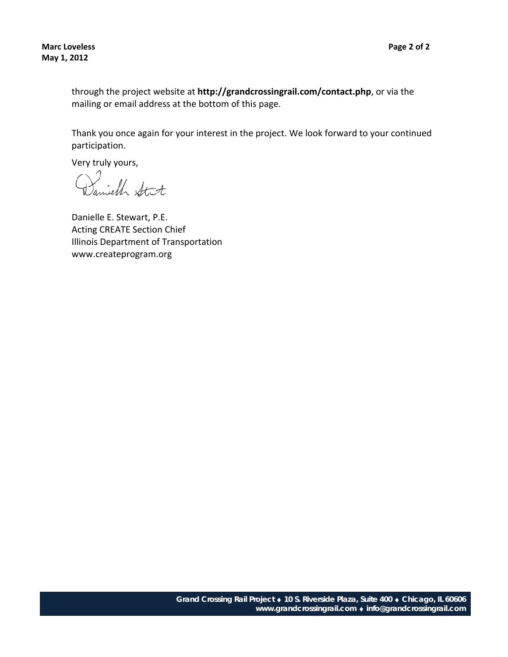through the project website at **http://grandcrossingrail.com/contact.php**, or via the mailing or email address at the bottom of this page.

Thank you once again for your interest in the project. We look forward to your continued participation.

Very truly yours,

Daniell Stit

Danielle E. Stewart, P.E. Acting CREATE Section Chief Illinois Department of Transportation www.createprogram.org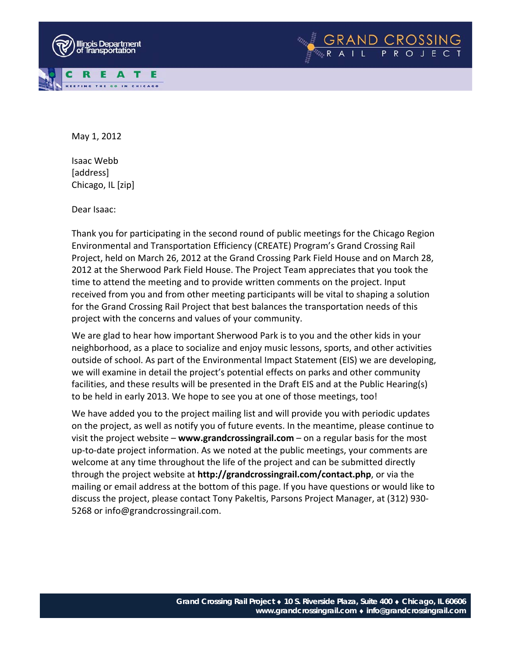



Isaac Webb [address] Chicago, IL [zip]

Dear Isaac:

Thank you for participating in the second round of public meetings for the Chicago Region Environmental and Transportation Efficiency (CREATE) Program's Grand Crossing Rail Project, held on March 26, 2012 at the Grand Crossing Park Field House and on March 28, 2012 at the Sherwood Park Field House. The Project Team appreciates that you took the time to attend the meeting and to provide written comments on the project. Input received from you and from other meeting participants will be vital to shaping a solution for the Grand Crossing Rail Project that best balances the transportation needs of this project with the concerns and values of your community.

We are glad to hear how important Sherwood Park is to you and the other kids in your neighborhood, as a place to socialize and enjoy music lessons, sports, and other activities outside of school. As part of the Environmental Impact Statement (EIS) we are developing, we will examine in detail the project's potential effects on parks and other community facilities, and these results will be presented in the Draft EIS and at the Public Hearing(s) to be held in early 2013. We hope to see you at one of those meetings, too!

We have added you to the project mailing list and will provide you with periodic updates on the project, as well as notify you of future events. In the meantime, please continue to visit the project website – **www.grandcrossingrail.com** – on a regular basis for the most up‐to‐date project information. As we noted at the public meetings, your comments are welcome at any time throughout the life of the project and can be submitted directly through the project website at **http://grandcrossingrail.com/contact.php**, or via the mailing or email address at the bottom of this page. If you have questions or would like to discuss the project, please contact Tony Pakeltis, Parsons Project Manager, at (312) 930‐ 5268 or info@grandcrossingrail.com.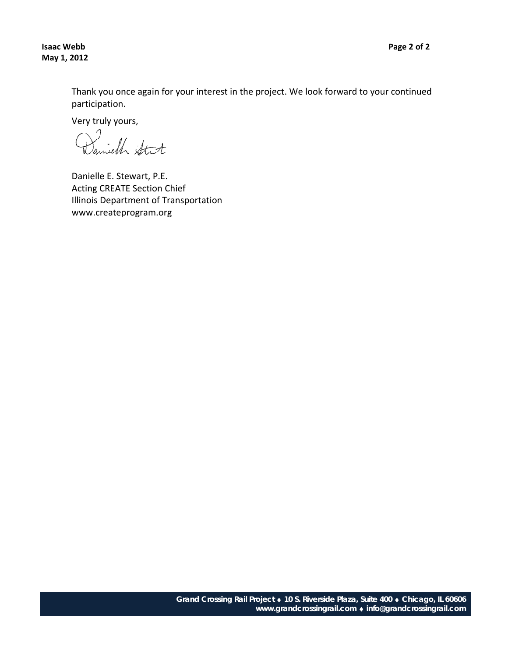**Isaac Webb Page 2 of 2 May 1, 2012**

Thank you once again for your interest in the project. We look forward to your continued participation.

Very truly yours,

Danielle E. Stewart, P.E. Acting CREATE Section Chief Illinois Department of Transportation www.createprogram.org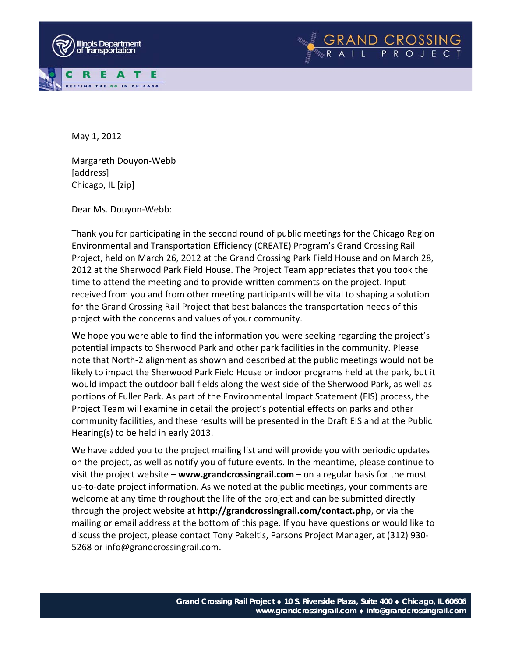



Margareth Douyon‐Webb [address] Chicago, IL [zip]

Dear Ms. Douyon‐Webb:

Thank you for participating in the second round of public meetings for the Chicago Region Environmental and Transportation Efficiency (CREATE) Program's Grand Crossing Rail Project, held on March 26, 2012 at the Grand Crossing Park Field House and on March 28, 2012 at the Sherwood Park Field House. The Project Team appreciates that you took the time to attend the meeting and to provide written comments on the project. Input received from you and from other meeting participants will be vital to shaping a solution for the Grand Crossing Rail Project that best balances the transportation needs of this project with the concerns and values of your community.

We hope you were able to find the information you were seeking regarding the project's potential impacts to Sherwood Park and other park facilities in the community. Please note that North‐2 alignment as shown and described at the public meetings would not be likely to impact the Sherwood Park Field House or indoor programs held at the park, but it would impact the outdoor ball fields along the west side of the Sherwood Park, as well as portions of Fuller Park. As part of the Environmental Impact Statement (EIS) process, the Project Team will examine in detail the project's potential effects on parks and other community facilities, and these results will be presented in the Draft EIS and at the Public Hearing(s) to be held in early 2013.

We have added you to the project mailing list and will provide you with periodic updates on the project, as well as notify you of future events. In the meantime, please continue to visit the project website – **www.grandcrossingrail.com** – on a regular basis for the most up‐to‐date project information. As we noted at the public meetings, your comments are welcome at any time throughout the life of the project and can be submitted directly through the project website at **http://grandcrossingrail.com/contact.php**, or via the mailing or email address at the bottom of this page. If you have questions or would like to discuss the project, please contact Tony Pakeltis, Parsons Project Manager, at (312) 930‐ 5268 or info@grandcrossingrail.com.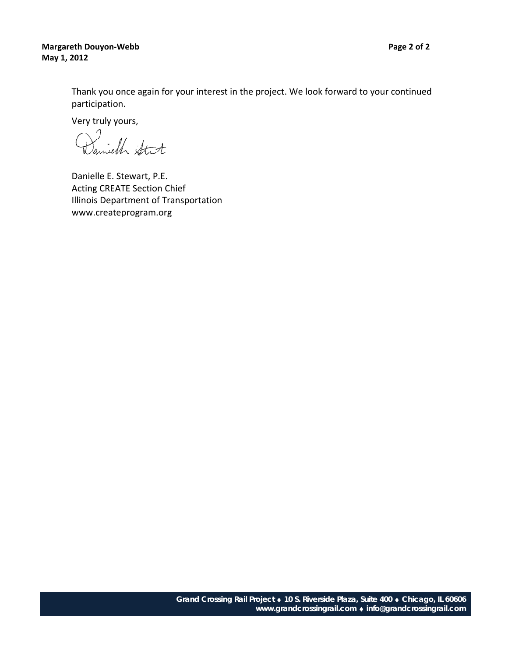**Margareth Douyon‐Webb Page 2 of 2 May 1, 2012**

Thank you once again for your interest in the project. We look forward to your continued participation.

Very truly yours,

Danielle E. Stewart, P.E. Acting CREATE Section Chief Illinois Department of Transportation www.createprogram.org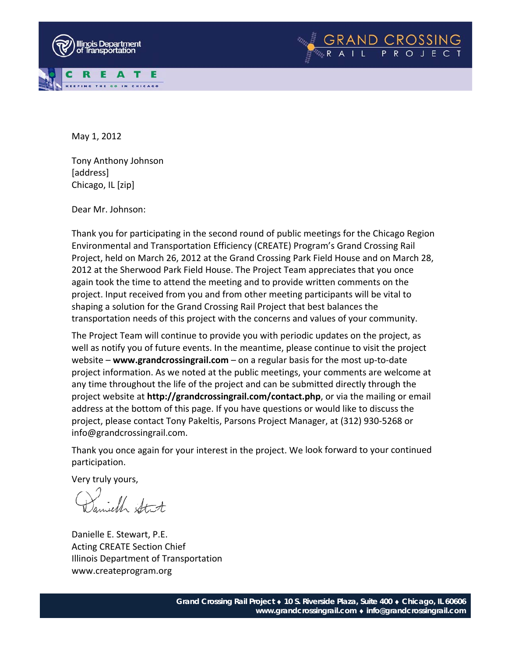



Tony Anthony Johnson [address] Chicago, IL [zip]

Dear Mr. Johnson:

Thank you for participating in the second round of public meetings for the Chicago Region Environmental and Transportation Efficiency (CREATE) Program's Grand Crossing Rail Project, held on March 26, 2012 at the Grand Crossing Park Field House and on March 28, 2012 at the Sherwood Park Field House. The Project Team appreciates that you once again took the time to attend the meeting and to provide written comments on the project. Input received from you and from other meeting participants will be vital to shaping a solution for the Grand Crossing Rail Project that best balances the transportation needs of this project with the concerns and values of your community.

The Project Team will continue to provide you with periodic updates on the project, as well as notify you of future events. In the meantime, please continue to visit the project website – **www.grandcrossingrail.com** – on a regular basis for the most up‐to‐date project information. As we noted at the public meetings, your comments are welcome at any time throughout the life of the project and can be submitted directly through the project website at **http://grandcrossingrail.com/contact.php**, or via the mailing or email address at the bottom of this page. If you have questions or would like to discuss the project, please contact Tony Pakeltis, Parsons Project Manager, at (312) 930‐5268 or info@grandcrossingrail.com.

Thank you once again for your interest in the project. We look forward to your continued participation.

Very truly yours,

Daniell Stit

Danielle E. Stewart, P.E. Acting CREATE Section Chief Illinois Department of Transportation www.createprogram.org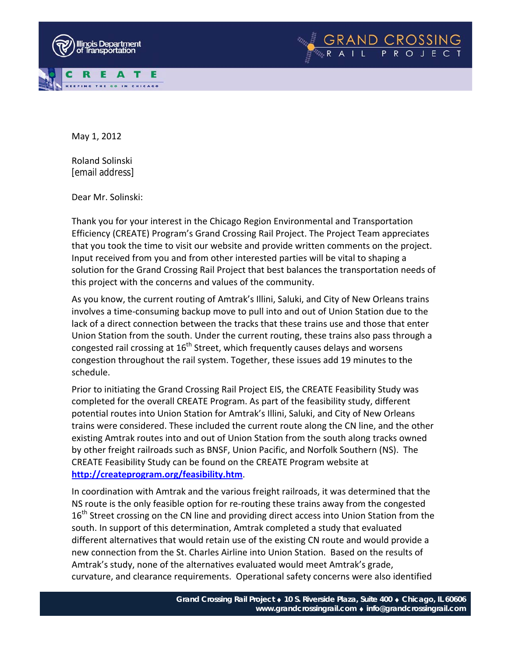



Roland Solinski [email address]

Dear Mr. Solinski:

Thank you for your interest in the Chicago Region Environmental and Transportation Efficiency (CREATE) Program's Grand Crossing Rail Project. The Project Team appreciates that you took the time to visit our website and provide written comments on the project. Input received from you and from other interested parties will be vital to shaping a solution for the Grand Crossing Rail Project that best balances the transportation needs of this project with the concerns and values of the community.

As you know, the current routing of Amtrak's Illini, Saluki, and City of New Orleans trains involves a time‐consuming backup move to pull into and out of Union Station due to the lack of a direct connection between the tracks that these trains use and those that enter Union Station from the south. Under the current routing, these trains also pass through a congested rail crossing at  $16<sup>th</sup>$  Street, which frequently causes delays and worsens congestion throughout the rail system. Together, these issues add 19 minutes to the schedule.

Prior to initiating the Grand Crossing Rail Project EIS, the CREATE Feasibility Study was completed for the overall CREATE Program. As part of the feasibility study, different potential routes into Union Station for Amtrak's Illini, Saluki, and City of New Orleans trains were considered. These included the current route along the CN line, and the other existing Amtrak routes into and out of Union Station from the south along tracks owned by other freight railroads such as BNSF, Union Pacific, and Norfolk Southern (NS). The CREATE Feasibility Study can be found on the CREATE Program website at **http://createprogram.org/feasibility.htm**.

In coordination with Amtrak and the various freight railroads, it was determined that the NS route is the only feasible option for re-routing these trains away from the congested 16<sup>th</sup> Street crossing on the CN line and providing direct access into Union Station from the south. In support of this determination, Amtrak completed a study that evaluated different alternatives that would retain use of the existing CN route and would provide a new connection from the St. Charles Airline into Union Station. Based on the results of Amtrak's study, none of the alternatives evaluated would meet Amtrak's grade, curvature, and clearance requirements. Operational safety concerns were also identified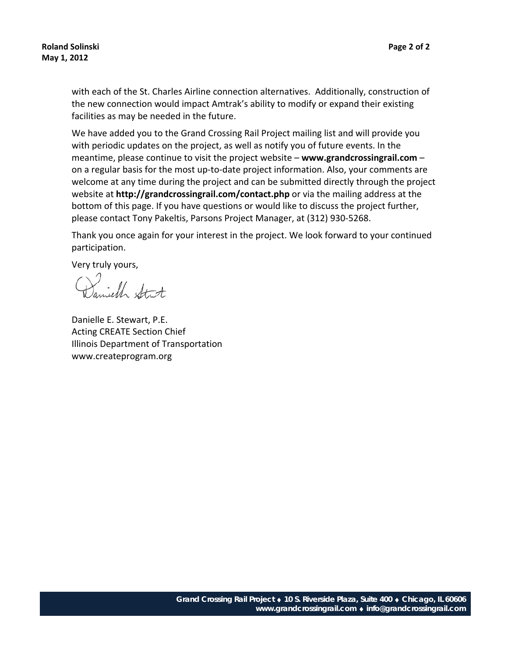with each of the St. Charles Airline connection alternatives. Additionally, construction of the new connection would impact Amtrak's ability to modify or expand their existing facilities as may be needed in the future.

We have added you to the Grand Crossing Rail Project mailing list and will provide you with periodic updates on the project, as well as notify you of future events. In the meantime, please continue to visit the project website – **www.grandcrossingrail.com** – on a regular basis for the most up‐to‐date project information. Also, your comments are welcome at any time during the project and can be submitted directly through the project website at **http://grandcrossingrail.com/contact.php** or via the mailing address at the bottom of this page. If you have questions or would like to discuss the project further, please contact Tony Pakeltis, Parsons Project Manager, at (312) 930‐5268.

Thank you once again for your interest in the project. We look forward to your continued participation.

Very truly yours,

Samiell Stit

Danielle E. Stewart, P.E. Acting CREATE Section Chief Illinois Department of Transportation www.createprogram.org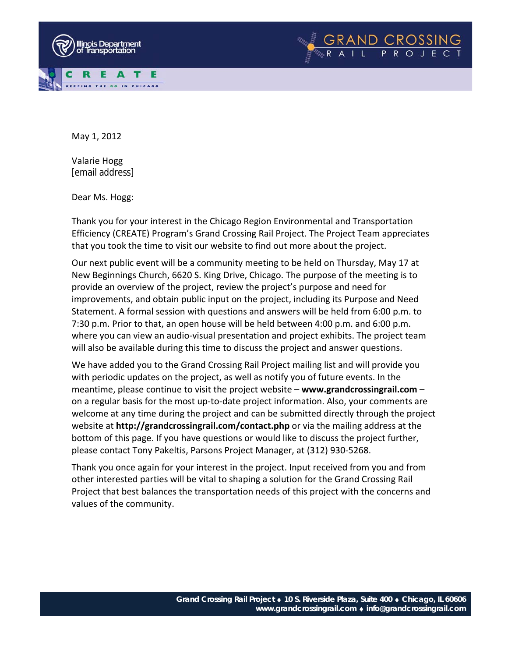



Valarie Hogg [email address]

Dear Ms. Hogg:

Thank you for your interest in the Chicago Region Environmental and Transportation Efficiency (CREATE) Program's Grand Crossing Rail Project. The Project Team appreciates that you took the time to visit our website to find out more about the project.

GRAND CROSSING<br>RAIL PROJECT

Our next public event will be a community meeting to be held on Thursday, May 17 at New Beginnings Church, 6620 S. King Drive, Chicago. The purpose of the meeting is to provide an overview of the project, review the project's purpose and need for improvements, and obtain public input on the project, including its Purpose and Need Statement. A formal session with questions and answers will be held from 6:00 p.m. to 7:30 p.m. Prior to that, an open house will be held between 4:00 p.m. and 6:00 p.m. where you can view an audio-visual presentation and project exhibits. The project team will also be available during this time to discuss the project and answer questions.

We have added you to the Grand Crossing Rail Project mailing list and will provide you with periodic updates on the project, as well as notify you of future events. In the meantime, please continue to visit the project website – **www.grandcrossingrail.com** – on a regular basis for the most up‐to‐date project information. Also, your comments are welcome at any time during the project and can be submitted directly through the project website at **http://grandcrossingrail.com/contact.php** or via the mailing address at the bottom of this page. If you have questions or would like to discuss the project further, please contact Tony Pakeltis, Parsons Project Manager, at (312) 930‐5268.

Thank you once again for your interest in the project. Input received from you and from other interested parties will be vital to shaping a solution for the Grand Crossing Rail Project that best balances the transportation needs of this project with the concerns and values of the community.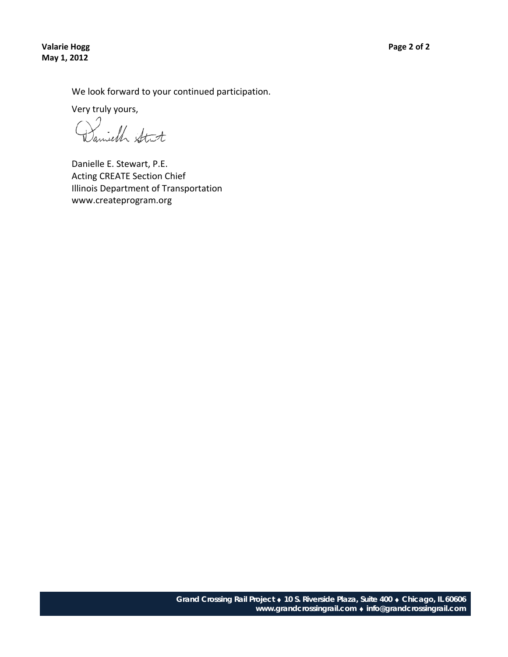**Valarie Hogg Page 2 of 2 May 1, 2012**

We look forward to your continued participation.

Very truly yours,

Daniell Stat

Danielle E. Stewart, P.E. Acting CREATE Section Chief Illinois Department of Transportation www.createprogram.org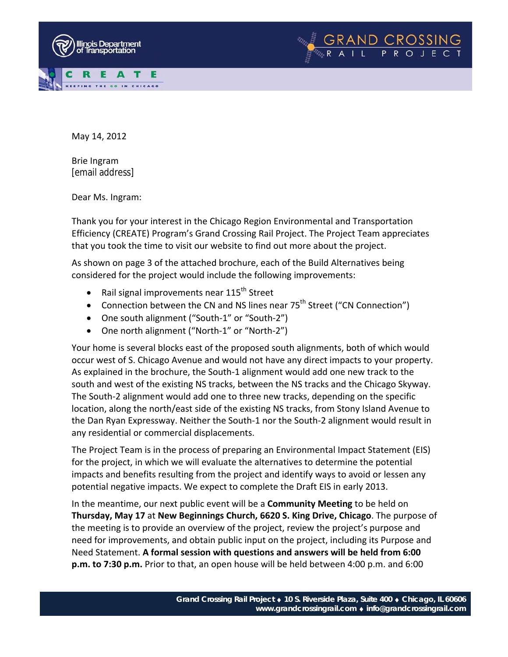



Brie Ingram [email address]

Dear Ms. Ingram:

Thank you for your interest in the Chicago Region Environmental and Transportation Efficiency (CREATE) Program's Grand Crossing Rail Project. The Project Team appreciates that you took the time to visit our website to find out more about the project.

GRAND CROSSING<br>RAIL PROJECT

As shown on page 3 of the attached brochure, each of the Build Alternatives being considered for the project would include the following improvements:

- Rail signal improvements near  $115^{th}$  Street
- Connection between the CN and NS lines near 75<sup>th</sup> Street ("CN Connection")
- One south alignment ("South‐1" or "South‐2")
- One north alignment ("North‐1" or "North‐2")

Your home is several blocks east of the proposed south alignments, both of which would occur west of S. Chicago Avenue and would not have any direct impacts to your property. As explained in the brochure, the South‐1 alignment would add one new track to the south and west of the existing NS tracks, between the NS tracks and the Chicago Skyway. The South-2 alignment would add one to three new tracks, depending on the specific location, along the north/east side of the existing NS tracks, from Stony Island Avenue to the Dan Ryan Expressway. Neither the South‐1 nor the South‐2 alignment would result in any residential or commercial displacements.

The Project Team is in the process of preparing an Environmental Impact Statement (EIS) for the project, in which we will evaluate the alternatives to determine the potential impacts and benefits resulting from the project and identify ways to avoid or lessen any potential negative impacts. We expect to complete the Draft EIS in early 2013.

In the meantime, our next public event will be a **Community Meeting** to be held on **Thursday, May 17** at **New Beginnings Church, 6620 S. King Drive, Chicago**. The purpose of the meeting is to provide an overview of the project, review the project's purpose and need for improvements, and obtain public input on the project, including its Purpose and Need Statement. **A formal session with questions and answers will be held from 6:00 p.m. to 7:30 p.m.** Prior to that, an open house will be held between 4:00 p.m. and 6:00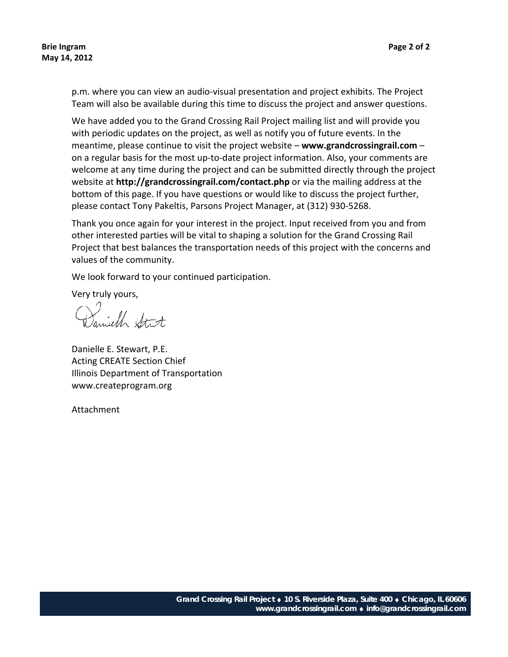p.m. where you can view an audio‐visual presentation and project exhibits. The Project Team will also be available during this time to discuss the project and answer questions.

We have added you to the Grand Crossing Rail Project mailing list and will provide you with periodic updates on the project, as well as notify you of future events. In the meantime, please continue to visit the project website – **www.grandcrossingrail.com** – on a regular basis for the most up‐to‐date project information. Also, your comments are welcome at any time during the project and can be submitted directly through the project website at **http://grandcrossingrail.com/contact.php** or via the mailing address at the bottom of this page. If you have questions or would like to discuss the project further, please contact Tony Pakeltis, Parsons Project Manager, at (312) 930‐5268.

Thank you once again for your interest in the project. Input received from you and from other interested parties will be vital to shaping a solution for the Grand Crossing Rail Project that best balances the transportation needs of this project with the concerns and values of the community.

We look forward to your continued participation.

Very truly yours,

Daniell Stit

Danielle E. Stewart, P.E. Acting CREATE Section Chief Illinois Department of Transportation www.createprogram.org

Attachment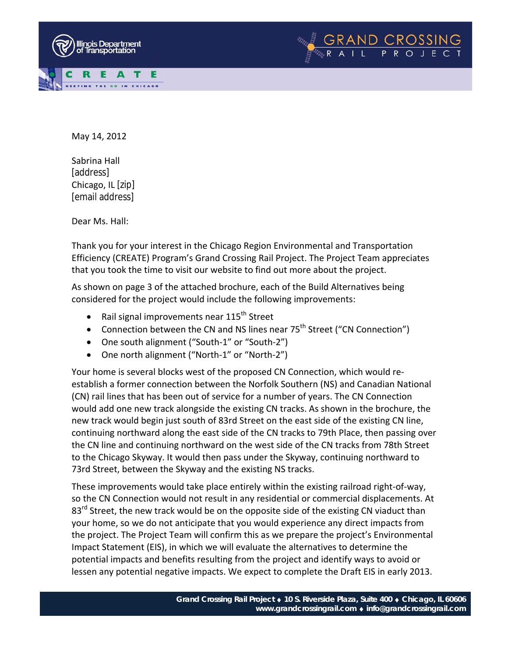



Sabrina Hall [address] Chicago, IL [zip] [email address]

Dear Ms. Hall:

Thank you for your interest in the Chicago Region Environmental and Transportation Efficiency (CREATE) Program's Grand Crossing Rail Project. The Project Team appreciates that you took the time to visit our website to find out more about the project.

As shown on page 3 of the attached brochure, each of the Build Alternatives being considered for the project would include the following improvements:

- Rail signal improvements near  $115^{th}$  Street
- Connection between the CN and NS lines near 75<sup>th</sup> Street ("CN Connection")
- One south alignment ("South‐1" or "South‐2")
- One north alignment ("North‐1" or "North‐2")

Your home is several blocks west of the proposed CN Connection, which would re‐ establish a former connection between the Norfolk Southern (NS) and Canadian National (CN) rail lines that has been out of service for a number of years. The CN Connection would add one new track alongside the existing CN tracks. As shown in the brochure, the new track would begin just south of 83rd Street on the east side of the existing CN line, continuing northward along the east side of the CN tracks to 79th Place, then passing over the CN line and continuing northward on the west side of the CN tracks from 78th Street to the Chicago Skyway. It would then pass under the Skyway, continuing northward to 73rd Street, between the Skyway and the existing NS tracks.

These improvements would take place entirely within the existing railroad right‐of‐way, so the CN Connection would not result in any residential or commercial displacements. At  $83<sup>rd</sup>$  Street, the new track would be on the opposite side of the existing CN viaduct than your home, so we do not anticipate that you would experience any direct impacts from the project. The Project Team will confirm this as we prepare the project's Environmental Impact Statement (EIS), in which we will evaluate the alternatives to determine the potential impacts and benefits resulting from the project and identify ways to avoid or lessen any potential negative impacts. We expect to complete the Draft EIS in early 2013.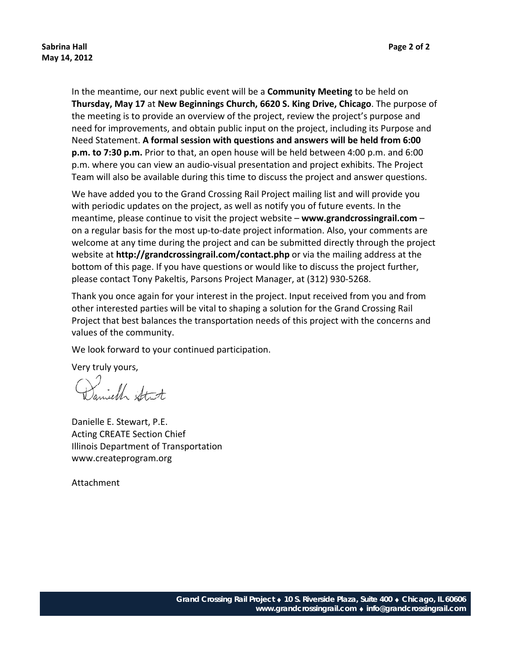In the meantime, our next public event will be a **Community Meeting** to be held on **Thursday, May 17** at **New Beginnings Church, 6620 S. King Drive, Chicago**. The purpose of the meeting is to provide an overview of the project, review the project's purpose and need for improvements, and obtain public input on the project, including its Purpose and Need Statement. **A formal session with questions and answers will be held from 6:00 p.m. to 7:30 p.m.** Prior to that, an open house will be held between 4:00 p.m. and 6:00 p.m. where you can view an audio‐visual presentation and project exhibits. The Project Team will also be available during this time to discuss the project and answer questions.

We have added you to the Grand Crossing Rail Project mailing list and will provide you with periodic updates on the project, as well as notify you of future events. In the meantime, please continue to visit the project website – **www.grandcrossingrail.com** – on a regular basis for the most up‐to‐date project information. Also, your comments are welcome at any time during the project and can be submitted directly through the project website at **http://grandcrossingrail.com/contact.php** or via the mailing address at the bottom of this page. If you have questions or would like to discuss the project further, please contact Tony Pakeltis, Parsons Project Manager, at (312) 930‐5268.

Thank you once again for your interest in the project. Input received from you and from other interested parties will be vital to shaping a solution for the Grand Crossing Rail Project that best balances the transportation needs of this project with the concerns and values of the community.

We look forward to your continued participation.

Very truly yours,

Samich Stat

Danielle E. Stewart, P.E. Acting CREATE Section Chief Illinois Department of Transportation www.createprogram.org

Attachment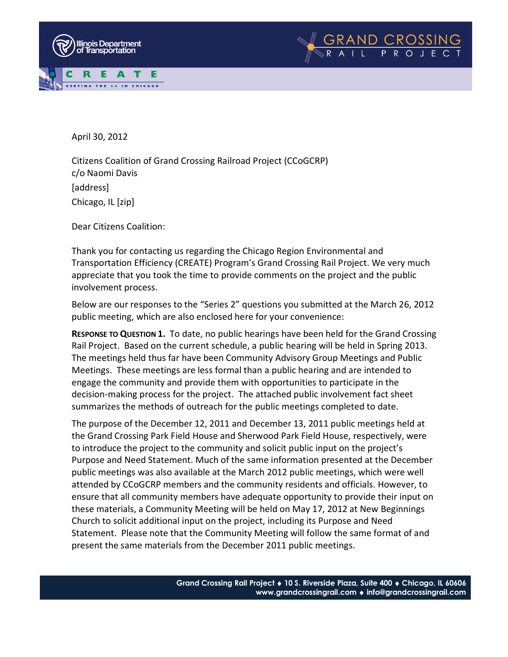



April 30, 2012

Citizens Coalition of Grand Crossing Railroad Project (CCoGCRP) c/o Naomi Davis [address] Chicago, IL [zip]

Dear Citizens Coalition:

Thank you for contacting us regarding the Chicago Region Environmental and Transportation Efficiency (CREATE) Program's Grand Crossing Rail Project. We very much appreciate that you took the time to provide comments on the project and the public involvement process.

Below are our responses to the "Series 2" questions you submitted at the March 26, 2012 public meeting, which are also enclosed here for your convenience:

**RESPONSE TO QUESTION 1.** To date, no public hearings have been held for the Grand Crossing Rail Project. Based on the current schedule, a public hearing will be held in Spring 2013. The meetings held thus far have been Community Advisory Group Meetings and Public Meetings. These meetings are less formal than a public hearing and are intended to engage the community and provide them with opportunities to participate in the decision-making process for the project. The attached public involvement fact sheet summarizes the methods of outreach for the public meetings completed to date.

The purpose of the December 12, 2011 and December 13, 2011 public meetings held at the Grand Crossing Park Field House and Sherwood Park Field House, respectively, were to introduce the project to the community and solicit public input on the project's Purpose and Need Statement. Much of the same information presented at the December public meetings was also available at the March 2012 public meetings, which were well attended by CCoGCRP members and the community residents and officials. However, to ensure that all community members have adequate opportunity to provide their input on these materials, a Community Meeting will be held on May 17, 2012 at New Beginnings Church to solicit additional input on the project, including its Purpose and Need Statement. Please note that the Community Meeting will follow the same format of and present the same materials from the December 2011 public meetings.

**Gand Crossing Rail Project** ♦ **10 S. Riverside Plaza, Suite 400** ♦ **Chicago, IL 60606www.grandcrossingrail.com** ♦ **info@**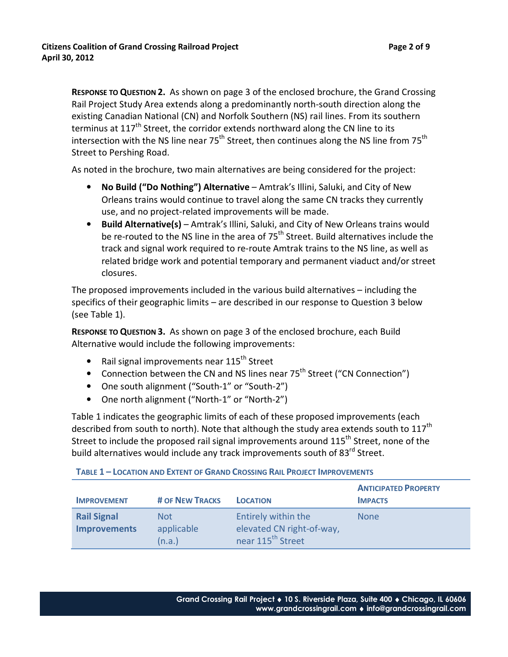**RESPONSE TO QUESTION 2.** As shown on page 3 of the enclosed brochure, the Grand Crossing Rail Project Study Area extends along a predominantly north-south direction along the existing Canadian National (CN) and Norfolk Southern (NS) rail lines. From its southern terminus at  $117<sup>th</sup>$  Street, the corridor extends northward along the CN line to its intersection with the NS line near  $75<sup>th</sup>$  Street, then continues along the NS line from  $75<sup>th</sup>$ Street to Pershing Road.

As noted in the brochure, two main alternatives are being considered for the project:

- **No Build ("Do Nothing") Alternative** Amtrak's Illini, Saluki, and City of New Orleans trains would continue to travel along the same CN tracks they currently use, and no project-related improvements will be made.
- **Build Alternative(s)** Amtrak's Illini, Saluki, and City of New Orleans trains would be re-routed to the NS line in the area of 75<sup>th</sup> Street. Build alternatives include the track and signal work required to re-route Amtrak trains to the NS line, as well as related bridge work and potential temporary and permanent viaduct and/or street closures.

The proposed improvements included in the various build alternatives – including the specifics of their geographic limits – are described in our response to Question 3 below (see Table 1).

**RESPONSE TO QUESTION 3.** As shown on page 3 of the enclosed brochure, each Build Alternative would include the following improvements:

- Rail signal improvements near  $115^{th}$  Street
- Connection between the CN and NS lines near 75<sup>th</sup> Street ("CN Connection")
- One south alignment ("South-1" or "South-2")
- One north alignment ("North-1" or "North-2")

Table 1 indicates the geographic limits of each of these proposed improvements (each described from south to north). Note that although the study area extends south to  $117^{th}$ Street to include the proposed rail signal improvements around 115<sup>th</sup> Street, none of the build alternatives would include any track improvements south of 83<sup>rd</sup> Street.

|  | <b>TABLE 1 - LOCATION AND EXTENT OF GRAND CROSSING RAIL PROJECT IMPROVEMENTS</b> |
|--|----------------------------------------------------------------------------------|
|  |                                                                                  |

| <b>IMPROVEMENT</b>                        | # OF NEW TRACKS              | <b>LOCATION</b>                                                                   | <b>ANTICIPATED PROPERTY</b><br><b>IMPACTS</b> |
|-------------------------------------------|------------------------------|-----------------------------------------------------------------------------------|-----------------------------------------------|
| <b>Rail Signal</b><br><b>Improvements</b> | Not.<br>applicable<br>(n.a.) | Entirely within the<br>elevated CN right-of-way,<br>near 115 <sup>th</sup> Street | <b>None</b>                                   |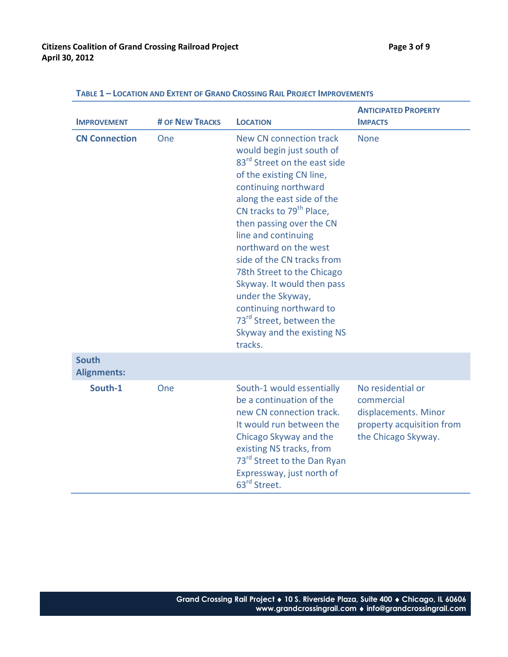| <b>IMPROVEMENT</b>                 | <b># OF NEW TRACKS</b> | <b>LOCATION</b>                                                                                                                                                                                                                                                                                                                                                                                                                                                                                                                   | <b>ANTICIPATED PROPERTY</b><br><b>IMPACTS</b>                                                               |
|------------------------------------|------------------------|-----------------------------------------------------------------------------------------------------------------------------------------------------------------------------------------------------------------------------------------------------------------------------------------------------------------------------------------------------------------------------------------------------------------------------------------------------------------------------------------------------------------------------------|-------------------------------------------------------------------------------------------------------------|
| <b>CN Connection</b>               | One                    | New CN connection track<br>would begin just south of<br>83 <sup>rd</sup> Street on the east side<br>of the existing CN line,<br>continuing northward<br>along the east side of the<br>CN tracks to 79 <sup>th</sup> Place,<br>then passing over the CN<br>line and continuing<br>northward on the west<br>side of the CN tracks from<br>78th Street to the Chicago<br>Skyway. It would then pass<br>under the Skyway,<br>continuing northward to<br>73 <sup>rd</sup> Street, between the<br>Skyway and the existing NS<br>tracks. | <b>None</b>                                                                                                 |
| <b>South</b><br><b>Alignments:</b> |                        |                                                                                                                                                                                                                                                                                                                                                                                                                                                                                                                                   |                                                                                                             |
| South-1                            | One                    | South-1 would essentially<br>be a continuation of the<br>new CN connection track.<br>It would run between the<br>Chicago Skyway and the<br>existing NS tracks, from<br>73 <sup>rd</sup> Street to the Dan Ryan<br>Expressway, just north of<br>63 <sup>rd</sup> Street.                                                                                                                                                                                                                                                           | No residential or<br>commercial<br>displacements. Minor<br>property acquisition from<br>the Chicago Skyway. |

#### **TABLE 1 – LOCATION AND EXTENT OF GRAND CROSSING RAIL PROJECT IMPROVEMENTS**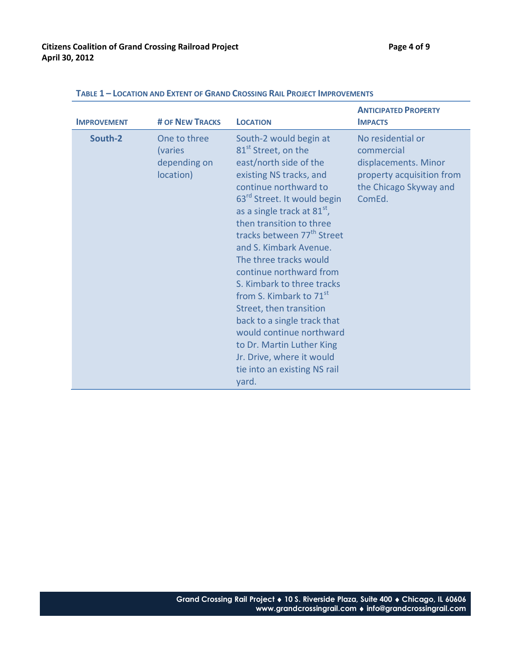| <b>IMPROVEMENT</b> | <b># OF NEW TRACKS</b>                               | <b>LOCATION</b>                                                                                                                                                                                                                                                                                                                                                                                                                                                                                                                                                                                                                        | <b>ANTICIPATED PROPERTY</b><br><b>IMPACTS</b>                                                                            |
|--------------------|------------------------------------------------------|----------------------------------------------------------------------------------------------------------------------------------------------------------------------------------------------------------------------------------------------------------------------------------------------------------------------------------------------------------------------------------------------------------------------------------------------------------------------------------------------------------------------------------------------------------------------------------------------------------------------------------------|--------------------------------------------------------------------------------------------------------------------------|
| South-2            | One to three<br>(varies<br>depending on<br>location) | South-2 would begin at<br>81 <sup>st</sup> Street, on the<br>east/north side of the<br>existing NS tracks, and<br>continue northward to<br>63 <sup>rd</sup> Street. It would begin<br>as a single track at $81st$ ,<br>then transition to three<br>tracks between 77 <sup>th</sup> Street<br>and S. Kimbark Avenue.<br>The three tracks would<br>continue northward from<br>S. Kimbark to three tracks<br>from S. Kimbark to 71 <sup>st</sup><br>Street, then transition<br>back to a single track that<br>would continue northward<br>to Dr. Martin Luther King<br>Jr. Drive, where it would<br>tie into an existing NS rail<br>yard. | No residential or<br>commercial<br>displacements. Minor<br>property acquisition from<br>the Chicago Skyway and<br>ComEd. |

#### **TABLE 1 – LOCATION AND EXTENT OF GRAND CROSSING RAIL PROJECT IMPROVEMENTS**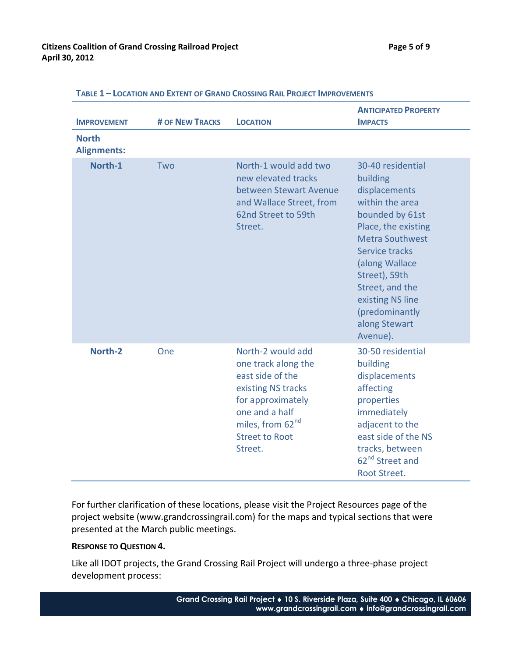| <b>IMPROVEMENT</b>                 | <b># OF NEW TRACKS</b> | <b>LOCATION</b>                                                                                                                                                                               | <b>ANTICIPATED PROPERTY</b><br><b>IMPACTS</b>                                                                                                                                                                                                                                    |
|------------------------------------|------------------------|-----------------------------------------------------------------------------------------------------------------------------------------------------------------------------------------------|----------------------------------------------------------------------------------------------------------------------------------------------------------------------------------------------------------------------------------------------------------------------------------|
| <b>North</b><br><b>Alignments:</b> |                        |                                                                                                                                                                                               |                                                                                                                                                                                                                                                                                  |
| North-1                            | Two                    | North-1 would add two<br>new elevated tracks<br>between Stewart Avenue<br>and Wallace Street, from<br>62nd Street to 59th<br>Street.                                                          | 30-40 residential<br>building<br>displacements<br>within the area<br>bounded by 61st<br>Place, the existing<br><b>Metra Southwest</b><br>Service tracks<br>(along Wallace<br>Street), 59th<br>Street, and the<br>existing NS line<br>(predominantly<br>along Stewart<br>Avenue). |
| North-2                            | One                    | North-2 would add<br>one track along the<br>east side of the<br>existing NS tracks<br>for approximately<br>one and a half<br>miles, from 62 <sup>nd</sup><br><b>Street to Root</b><br>Street. | 30-50 residential<br>building<br>displacements<br>affecting<br>properties<br>immediately<br>adjacent to the<br>east side of the NS<br>tracks, between<br>62 <sup>nd</sup> Street and<br>Root Street.                                                                             |

**TABLE 1 – LOCATION AND EXTENT OF GRAND CROSSING RAIL PROJECT IMPROVEMENTS**

For further clarification of these locations, please visit the Project Resources page of the project website (www.grandcrossingrail.com) for the maps and typical sections that were presented at the March public meetings.

#### **RESPONSE TO QUESTION 4.**

Like all IDOT projects, the Grand Crossing Rail Project will undergo a three-phase project development process: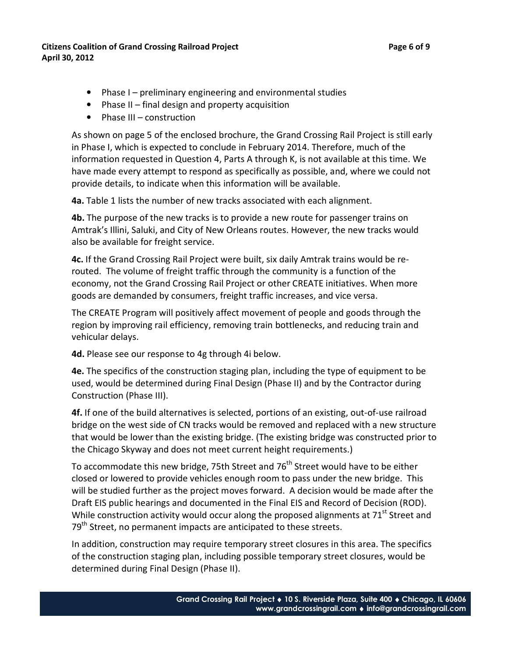#### **Citizens Coalition of Grand Crossing Railroad Project Page 6 of 9 April 30, 2012**

- Phase I preliminary engineering and environmental studies
- Phase II final design and property acquisition
- Phase III construction

As shown on page 5 of the enclosed brochure, the Grand Crossing Rail Project is still early in Phase I, which is expected to conclude in February 2014. Therefore, much of the information requested in Question 4, Parts A through K, is not available at this time. We have made every attempt to respond as specifically as possible, and, where we could not provide details, to indicate when this information will be available.

**4a.** Table 1 lists the number of new tracks associated with each alignment.

**4b.** The purpose of the new tracks is to provide a new route for passenger trains on Amtrak's Illini, Saluki, and City of New Orleans routes. However, the new tracks would also be available for freight service.

**4c.** If the Grand Crossing Rail Project were built, six daily Amtrak trains would be rerouted. The volume of freight traffic through the community is a function of the economy, not the Grand Crossing Rail Project or other CREATE initiatives. When more goods are demanded by consumers, freight traffic increases, and vice versa.

The CREATE Program will positively affect movement of people and goods through the region by improving rail efficiency, removing train bottlenecks, and reducing train and vehicular delays.

**4d.** Please see our response to 4g through 4i below.

**4e.** The specifics of the construction staging plan, including the type of equipment to be used, would be determined during Final Design (Phase II) and by the Contractor during Construction (Phase III).

**4f.** If one of the build alternatives is selected, portions of an existing, out-of-use railroad bridge on the west side of CN tracks would be removed and replaced with a new structure that would be lower than the existing bridge. (The existing bridge was constructed prior to the Chicago Skyway and does not meet current height requirements.)

To accommodate this new bridge, 75th Street and 76<sup>th</sup> Street would have to be either closed or lowered to provide vehicles enough room to pass under the new bridge. This will be studied further as the project moves forward. A decision would be made after the Draft EIS public hearings and documented in the Final EIS and Record of Decision (ROD). While construction activity would occur along the proposed alignments at 71<sup>st</sup> Street and 79<sup>th</sup> Street, no permanent impacts are anticipated to these streets.

In addition, construction may require temporary street closures in this area. The specifics of the construction staging plan, including possible temporary street closures, would be determined during Final Design (Phase II).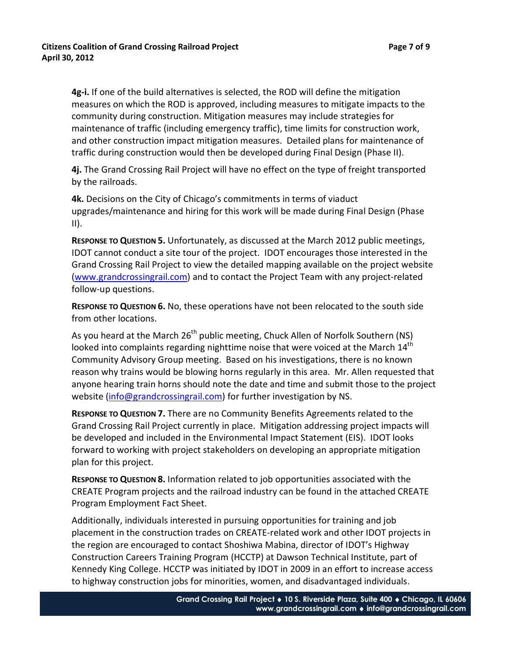**4g-i.** If one of the build alternatives is selected, the ROD will define the mitigation measures on which the ROD is approved, including measures to mitigate impacts to the community during construction. Mitigation measures may include strategies for maintenance of traffic (including emergency traffic), time limits for construction work, and other construction impact mitigation measures. Detailed plans for maintenance of traffic during construction would then be developed during Final Design (Phase II).

**4j.** The Grand Crossing Rail Project will have no effect on the type of freight transported by the railroads.

**4k.** Decisions on the City of Chicago's commitments in terms of viaduct upgrades/maintenance and hiring for this work will be made during Final Design (Phase  $II$ ).

**RESPONSE TO QUESTION 5.** Unfortunately, as discussed at the March 2012 public meetings, IDOT cannot conduct a site tour of the project. IDOT encourages those interested in the Grand Crossing Rail Project to view the detailed mapping available on the project website (www.grandcrossingrail.com) and to contact the Project Team with any project-related follow-up questions.

**RESPONSE TO QUESTION 6.** No, these operations have not been relocated to the south side from other locations.

As you heard at the March 26<sup>th</sup> public meeting, Chuck Allen of Norfolk Southern (NS) looked into complaints regarding nighttime noise that were voiced at the March  $14<sup>th</sup>$ Community Advisory Group meeting. Based on his investigations, there is no known reason why trains would be blowing horns regularly in this area. Mr. Allen requested that anyone hearing train horns should note the date and time and submit those to the project website (info@grandcrossingrail.com) for further investigation by NS.

**RESPONSE TO QUESTION 7.** There are no Community Benefits Agreements related to the Grand Crossing Rail Project currently in place. Mitigation addressing project impacts will be developed and included in the Environmental Impact Statement (EIS). IDOT looks forward to working with project stakeholders on developing an appropriate mitigation plan for this project.

**RESPONSE TO QUESTION 8.** Information related to job opportunities associated with the CREATE Program projects and the railroad industry can be found in the attached CREATE Program Employment Fact Sheet.

Additionally, individuals interested in pursuing opportunities for training and job placement in the construction trades on CREATE-related work and other IDOT projects in the region are encouraged to contact Shoshiwa Mabina, director of IDOT's Highway Construction Careers Training Program (HCCTP) at Dawson Technical Institute, part of Kennedy King College. HCCTP was initiated by IDOT in 2009 in an effort to increase access to highway construction jobs for minorities, women, and disadvantaged individuals.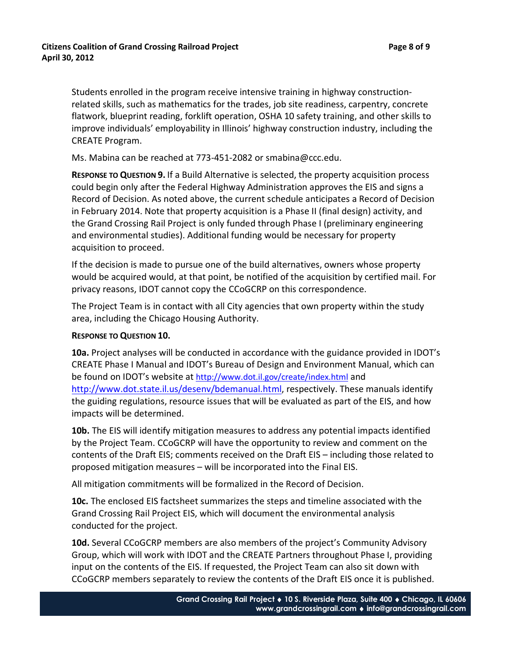Students enrolled in the program receive intensive training in highway constructionrelated skills, such as mathematics for the trades, job site readiness, carpentry, concrete flatwork, blueprint reading, forklift operation, OSHA 10 safety training, and other skills to improve individuals' employability in Illinois' highway construction industry, including the CREATE Program.

Ms. Mabina can be reached at 773-451-2082 or smabina@ccc.edu.

**RESPONSE TO QUESTION 9.** If a Build Alternative is selected, the property acquisition process could begin only after the Federal Highway Administration approves the EIS and signs a Record of Decision. As noted above, the current schedule anticipates a Record of Decision in February 2014. Note that property acquisition is a Phase II (final design) activity, and the Grand Crossing Rail Project is only funded through Phase I (preliminary engineering and environmental studies). Additional funding would be necessary for property acquisition to proceed.

If the decision is made to pursue one of the build alternatives, owners whose property would be acquired would, at that point, be notified of the acquisition by certified mail. For privacy reasons, IDOT cannot copy the CCoGCRP on this correspondence.

The Project Team is in contact with all City agencies that own property within the study area, including the Chicago Housing Authority.

## **RESPONSE TO QUESTION 10.**

**10a.** Project analyses will be conducted in accordance with the guidance provided in IDOT's CREATE Phase I Manual and IDOT's Bureau of Design and Environment Manual, which can be found on IDOT's website at http://www.dot.il.gov/create/index.html and http://www.dot.state.il.us/desenv/bdemanual.html, respectively. These manuals identify the guiding regulations, resource issues that will be evaluated as part of the EIS, and how impacts will be determined.

**10b.** The EIS will identify mitigation measures to address any potential impacts identified by the Project Team. CCoGCRP will have the opportunity to review and comment on the contents of the Draft EIS; comments received on the Draft EIS – including those related to proposed mitigation measures – will be incorporated into the Final EIS.

All mitigation commitments will be formalized in the Record of Decision.

**10c.** The enclosed EIS factsheet summarizes the steps and timeline associated with the Grand Crossing Rail Project EIS, which will document the environmental analysis conducted for the project.

**10d.** Several CCoGCRP members are also members of the project's Community Advisory Group, which will work with IDOT and the CREATE Partners throughout Phase I, providing input on the contents of the EIS. If requested, the Project Team can also sit down with CCoGCRP members separately to review the contents of the Draft EIS once it is published.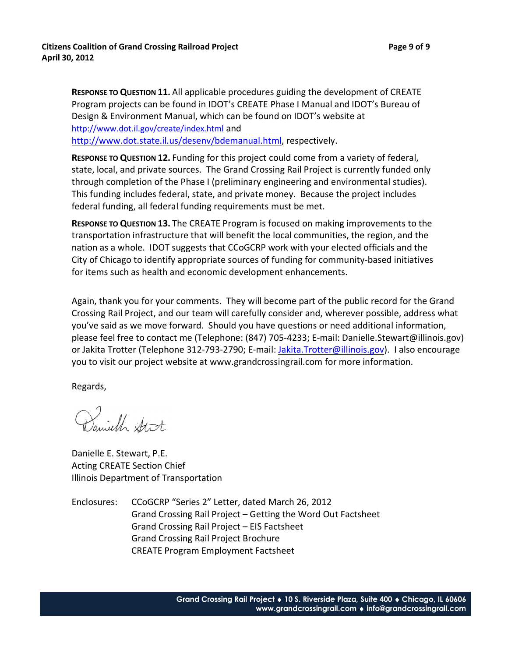**RESPONSE TO QUESTION 11.** All applicable procedures guiding the development of CREATE Program projects can be found in IDOT's CREATE Phase I Manual and IDOT's Bureau of Design & Environment Manual, which can be found on IDOT's website at http://www.dot.il.gov/create/index.html and http://www.dot.state.il.us/desenv/bdemanual.html, respectively.

**RESPONSE TO QUESTION 12.** Funding for this project could come from a variety of federal, state, local, and private sources. The Grand Crossing Rail Project is currently funded only through completion of the Phase I (preliminary engineering and environmental studies). This funding includes federal, state, and private money. Because the project includes federal funding, all federal funding requirements must be met.

**RESPONSE TO QUESTION 13.** The CREATE Program is focused on making improvements to the transportation infrastructure that will benefit the local communities, the region, and the nation as a whole. IDOT suggests that CCoGCRP work with your elected officials and the City of Chicago to identify appropriate sources of funding for community-based initiatives for items such as health and economic development enhancements.

Again, thank you for your comments. They will become part of the public record for the Grand Crossing Rail Project, and our team will carefully consider and, wherever possible, address what you've said as we move forward. Should you have questions or need additional information, please feel free to contact me (Telephone: (847) 705-4233; E-mail: Danielle.Stewart@illinois.gov) or Jakita Trotter (Telephone 312-793-2790; E-mail: Jakita.Trotter@illinois.gov). I also encourage you to visit our project website at www.grandcrossingrail.com for more information.

Regards,

Daniell Stat

Danielle E. Stewart, P.E. Acting CREATE Section Chief Illinois Department of Transportation

Enclosures: CCoGCRP "Series 2" Letter, dated March 26, 2012 Grand Crossing Rail Project – Getting the Word Out Factsheet Grand Crossing Rail Project – EIS Factsheet Grand Crossing Rail Project Brochure CREATE Program Employment Factsheet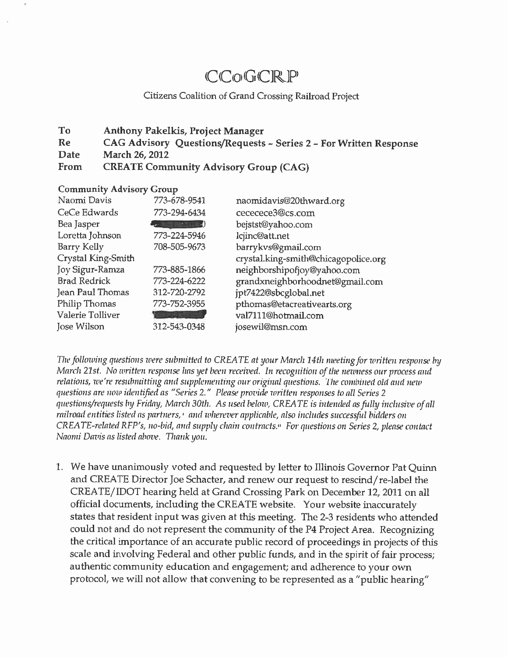# CCoGCRP

# Citizens Coalition of Grand Crossing Railroad Project

#### To **Anthony Pakelkis, Project Manager Re** CAG Advisory Questions/Requests ~ Series 2 - For Written Response Date March 26, 2012 From **CREATE Community Advisory Group (CAG)**

## **Community Advisory Group**

| Naomi Davis         | 773-678-9541 | naomidavis@20thward.org              |
|---------------------|--------------|--------------------------------------|
| CeCe Edwards        | 773-294-6434 | cececece3@cs.com                     |
| Bea Jasper          | ш            | bejstst@yahoo.com                    |
| Loretta Johnson     | 773-224-5946 | lcjinc@att.net                       |
| Barry Kelly         | 708-505-9673 | barrykvs@gmail.com                   |
| Crystal King-Smith  |              | crystal.king-smith@chicagopolice.org |
| Joy Sigur-Ramza     | 773-885-1866 | neighborshipofjoy@yahoo.com          |
| <b>Brad Redrick</b> | 773-224-6222 | grandxneighborhoodnet@gmail.com      |
| Jean Paul Thomas    | 312-720-2792 | jpt7422@sbcglobal.net                |
| Philip Thomas       | 773-752-3955 | pthomas@etacreativearts.org          |
| Valerie Tolliver    |              | val7111@hotmail.com                  |
| Jose Wilson         | 312-543-0348 | josewil@msn.com                      |

The following questions were submitted to CREATE at your March 14th meeting for written response by March 21st. No written response has yet been received. In recognition of the newness our process and relations, we're resubmitting and supplementing our original questions. The combined old and new questions are now identified as "Series 2." Please provide written responses to all Series 2 questions/requests by Friday, March 30th. As used below, CREATE is intended as fully inclusive of all railroad entities listed as partners,<sup>1</sup> and wherever applicable, also includes successful bidders on  $CREATE$ -related RFP's, no-bid, and supply chain contracts.<sup> $n$ </sup> For questions on Series 2, please contact Naomi Davis as listed above. Thank you.

1. We have unanimously voted and requested by letter to Illinois Governor Pat Quinn and CREATE Director Joe Schacter, and renew our request to rescind/re-label the CREATE/IDOT hearing held at Grand Crossing Park on December 12, 2011 on all official documents, including the CREATE website. Your website inaccurately states that resident input was given at this meeting. The 2-3 residents who attended could not and do not represent the community of the P4 Project Area. Recognizing the critical importance of an accurate public record of proceedings in projects of this scale and involving Federal and other public funds, and in the spirit of fair process; authentic community education and engagement; and adherence to your own protocol, we will not allow that convening to be represented as a "public hearing"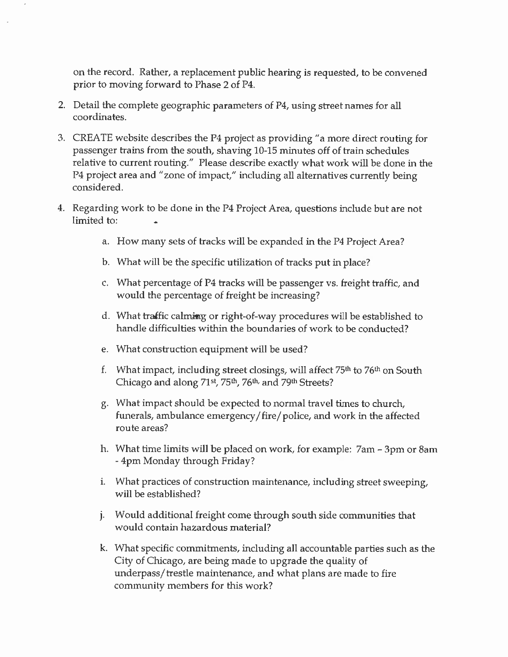on the record. Rather, a replacement public hearing is requested, to be convened prior to moving forward to Phase 2 of P4.

- 2. Detail the complete geographic parameters of P4, using street names for all coordinates.
- 3. CREATE website describes the P4 project as providing "a more direct routing for passenger trains from the south, shaving 10-15 minutes off of train schedules relative to current routing." Please describe exactly what work will be done in the P4 project area and "zone of impact," including all alternatives currently being considered.
- 4. Regarding work to be done in the P4 Project Area, questions include but are not limited to:
	- a. How many sets of tracks will be expanded in the P4 Project Area?
	- b. What will be the specific utilization of tracks put in place?
	- c. What percentage of P4 tracks will be passenger vs. freight traffic, and would the percentage of freight be increasing?
	- d. What traffic calming or right-of-way procedures will be established to handle difficulties within the boundaries of work to be conducted?
	- e. What construction equipment will be used?
	- f. What impact, including street closings, will affect 75<sup>th</sup> to 76<sup>th</sup> on South Chicago and along 71st, 75th, 76th, and 79th Streets?
	- g. What impact should be expected to normal travel times to church, funerals, ambulance emergency/fire/police, and work in the affected route areas?
	- h. What time limits will be placed on work, for example: 7am 3pm or 8am - 4pm Monday through Friday?
	- i. What practices of construction maintenance, including street sweeping, will be established?
	- j. Would additional freight come through south side communities that would contain hazardous material?
	- k. What specific commitments, including all accountable parties such as the City of Chicago, are being made to upgrade the quality of underpass/trestle maintenance, and what plans are made to fire community members for this work?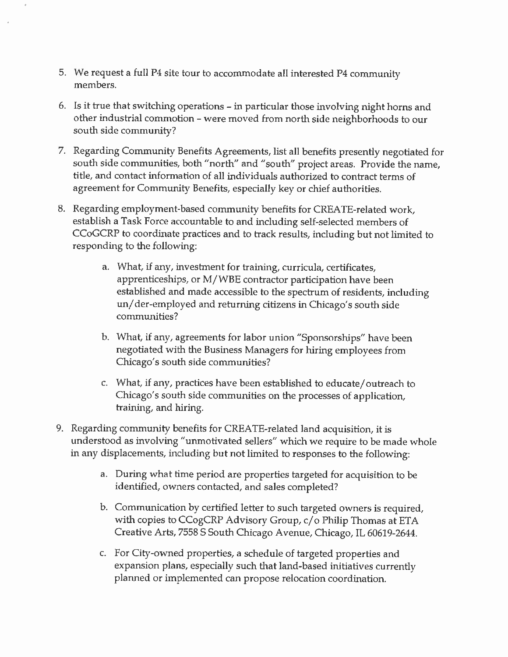- 5. We request a full P4 site tour to accommodate all interested P4 community members.
- 6. Is it true that switching operations in particular those involving night horns and other industrial commotion - were moved from north side neighborhoods to our south side community?
- 7. Regarding Community Benefits Agreements, list all benefits presently negotiated for south side communities, both "north" and "south" project areas. Provide the name, title, and contact information of all individuals authorized to contract terms of agreement for Community Benefits, especially key or chief authorities.
- 8. Regarding employment-based community benefits for CREATE-related work, establish a Task Force accountable to and including self-selected members of CCoGCRP to coordinate practices and to track results, including but not limited to responding to the following:
	- a. What, if any, investment for training, curricula, certificates, apprenticeships, or M/WBE contractor participation have been established and made accessible to the spectrum of residents, including un/der-employed and returning citizens in Chicago's south side communities?
	- b. What, if any, agreements for labor union "Sponsorships" have been negotiated with the Business Managers for hiring employees from Chicago's south side communities?
	- c. What, if any, practices have been established to educate/outreach to Chicago's south side communities on the processes of application, training, and hiring.
- 9. Regarding community benefits for CREATE-related land acquisition, it is understood as involving "unmotivated sellers" which we require to be made whole in any displacements, including but not limited to responses to the following:
	- a. During what time period are properties targeted for acquisition to be identified, owners contacted, and sales completed?
	- b. Communication by certified letter to such targeted owners is required, with copies to CCogCRP Advisory Group, c/o Philip Thomas at ETA Creative Arts, 7558 S South Chicago Avenue, Chicago, IL 60619-2644.
	- c. For City-owned properties, a schedule of targeted properties and expansion plans, especially such that land-based initiatives currently planned or implemented can propose relocation coordination.